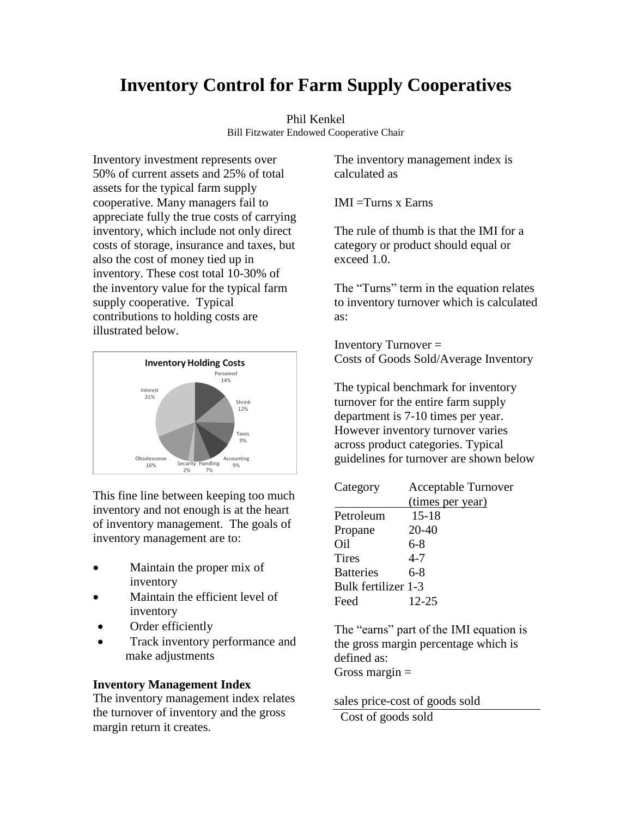# **Inventory Control for Farm Supply Cooperatives**

#### Phil Kenkel Bill Fitzwater Endowed Cooperative Chair

Inventory investment represents over 50% of current assets and 25% of total assets for the typical farm supply cooperative. Many managers fail to appreciate fully the true costs of carrying inventory, which include not only direct costs of storage, insurance and taxes, but also the cost of money tied up in inventory. These cost total 10-30% of the inventory value for the typical farm supply cooperative. Typical contributions to holding costs are illustrated below.



This fine line between keeping too much inventory and not enough is at the heart of inventory management. The goals of inventory management are to:

- Maintain the proper mix of inventory
- Maintain the efficient level of inventory
- Order efficiently
- Track inventory performance and make adjustments

# **Inventory Management Index**

The inventory management index relates the turnover of inventory and the gross margin return it creates.

The inventory management index is calculated as

IMI =Turns x Earns

The rule of thumb is that the IMI for a category or product should equal or exceed 1.0.

The "Turns" term in the equation relates to inventory turnover which is calculated as:

Inventory Turnover = Costs of Goods Sold/Average Inventory

The typical benchmark for inventory turnover for the entire farm supply department is 7-10 times per year. However inventory turnover varies across product categories. Typical guidelines for turnover are shown below

| Category            | <b>Acceptable Turnover</b> |
|---------------------|----------------------------|
|                     | (times per year)           |
| Petroleum           | $15 - 18$                  |
| Propane             | 20-40                      |
| Oil                 | $6-8$                      |
| <b>Tires</b>        | $4 - 7$                    |
| <b>Batteries</b>    | 6-8                        |
| Bulk fertilizer 1-3 |                            |
| Feed                | 12-25                      |

The "earns" part of the IMI equation is the gross margin percentage which is defined as: Gross margin  $=$ 

sales price-cost of goods sold Cost of goods sold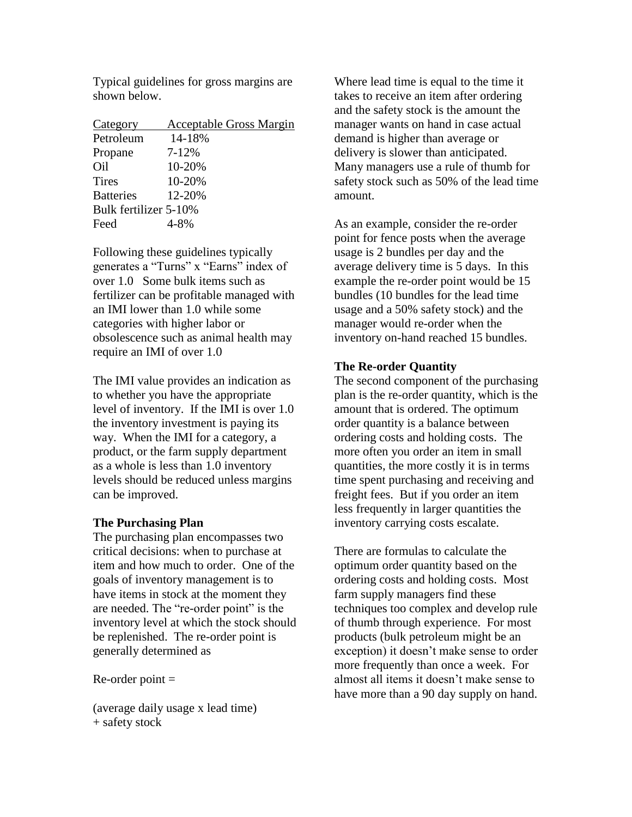Typical guidelines for gross margins are shown below.

| Category              | <b>Acceptable Gross Margin</b> |
|-----------------------|--------------------------------|
| Petroleum             | 14-18%                         |
| Propane               | $7 - 12%$                      |
| Oil                   | 10-20%                         |
| <b>Tires</b>          | 10-20%                         |
| <b>Batteries</b>      | 12-20%                         |
| Bulk fertilizer 5-10% |                                |
| Feed                  |                                |

Following these guidelines typically generates a "Turns" x "Earns" index of over 1.0 Some bulk items such as fertilizer can be profitable managed with an IMI lower than 1.0 while some categories with higher labor or obsolescence such as animal health may require an IMI of over 1.0

The IMI value provides an indication as to whether you have the appropriate level of inventory. If the IMI is over 1.0 the inventory investment is paying its way. When the IMI for a category, a product, or the farm supply department as a whole is less than 1.0 inventory levels should be reduced unless margins can be improved.

# **The Purchasing Plan**

The purchasing plan encompasses two critical decisions: when to purchase at item and how much to order. One of the goals of inventory management is to have items in stock at the moment they are needed. The "re-order point" is the inventory level at which the stock should be replenished. The re-order point is generally determined as

 $Re$ -order point  $=$ 

(average daily usage x lead time) + safety stock

Where lead time is equal to the time it takes to receive an item after ordering and the safety stock is the amount the manager wants on hand in case actual demand is higher than average or delivery is slower than anticipated. Many managers use a rule of thumb for safety stock such as 50% of the lead time amount.

As an example, consider the re-order point for fence posts when the average usage is 2 bundles per day and the average delivery time is 5 days. In this example the re-order point would be 15 bundles (10 bundles for the lead time usage and a 50% safety stock) and the manager would re-order when the inventory on-hand reached 15 bundles.

# **The Re-order Quantity**

The second component of the purchasing plan is the re-order quantity, which is the amount that is ordered. The optimum order quantity is a balance between ordering costs and holding costs. The more often you order an item in small quantities, the more costly it is in terms time spent purchasing and receiving and freight fees. But if you order an item less frequently in larger quantities the inventory carrying costs escalate.

There are formulas to calculate the optimum order quantity based on the ordering costs and holding costs. Most farm supply managers find these techniques too complex and develop rule of thumb through experience. For most products (bulk petroleum might be an exception) it doesn't make sense to order more frequently than once a week. For almost all items it doesn't make sense to have more than a 90 day supply on hand.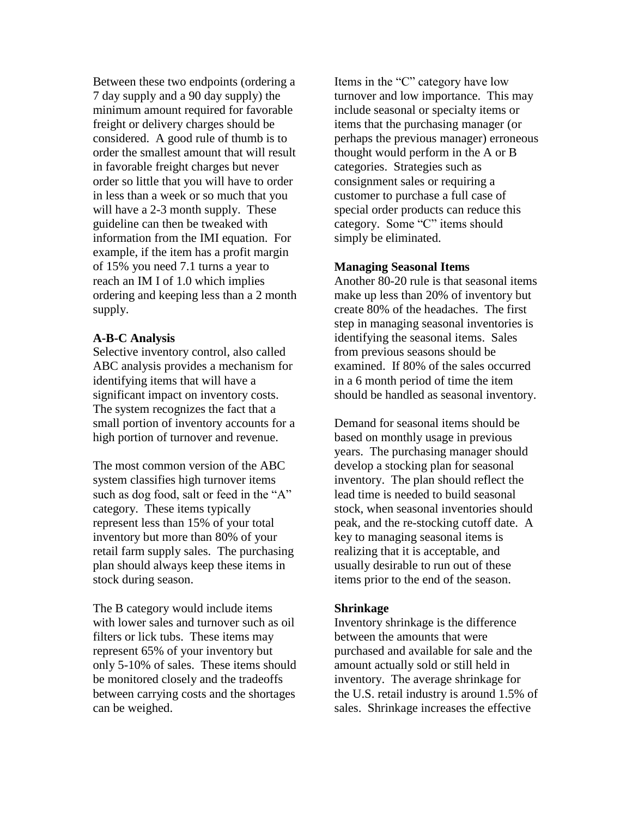Between these two endpoints (ordering a 7 day supply and a 90 day supply) the minimum amount required for favorable freight or delivery charges should be considered. A good rule of thumb is to order the smallest amount that will result in favorable freight charges but never order so little that you will have to order in less than a week or so much that you will have a 2-3 month supply. These guideline can then be tweaked with information from the IMI equation. For example, if the item has a profit margin of 15% you need 7.1 turns a year to reach an IM I of 1.0 which implies ordering and keeping less than a 2 month supply.

### **A-B-C Analysis**

Selective inventory control, also called ABC analysis provides a mechanism for identifying items that will have a significant impact on inventory costs. The system recognizes the fact that a small portion of inventory accounts for a high portion of turnover and revenue.

The most common version of the ABC system classifies high turnover items such as dog food, salt or feed in the "A" category. These items typically represent less than 15% of your total inventory but more than 80% of your retail farm supply sales. The purchasing plan should always keep these items in stock during season.

The B category would include items with lower sales and turnover such as oil filters or lick tubs. These items may represent 65% of your inventory but only 5-10% of sales. These items should be monitored closely and the tradeoffs between carrying costs and the shortages can be weighed.

Items in the "C" category have low turnover and low importance. This may include seasonal or specialty items or items that the purchasing manager (or perhaps the previous manager) erroneous thought would perform in the A or B categories. Strategies such as consignment sales or requiring a customer to purchase a full case of special order products can reduce this category. Some "C" items should simply be eliminated.

### **Managing Seasonal Items**

Another 80-20 rule is that seasonal items make up less than 20% of inventory but create 80% of the headaches. The first step in managing seasonal inventories is identifying the seasonal items. Sales from previous seasons should be examined. If 80% of the sales occurred in a 6 month period of time the item should be handled as seasonal inventory.

Demand for seasonal items should be based on monthly usage in previous years. The purchasing manager should develop a stocking plan for seasonal inventory. The plan should reflect the lead time is needed to build seasonal stock, when seasonal inventories should peak, and the re-stocking cutoff date. A key to managing seasonal items is realizing that it is acceptable, and usually desirable to run out of these items prior to the end of the season.

#### **Shrinkage**

Inventory shrinkage is the difference between the amounts that were purchased and available for sale and the amount actually sold or still held in inventory. The average shrinkage for the U.S. retail industry is around 1.5% of sales. Shrinkage increases the effective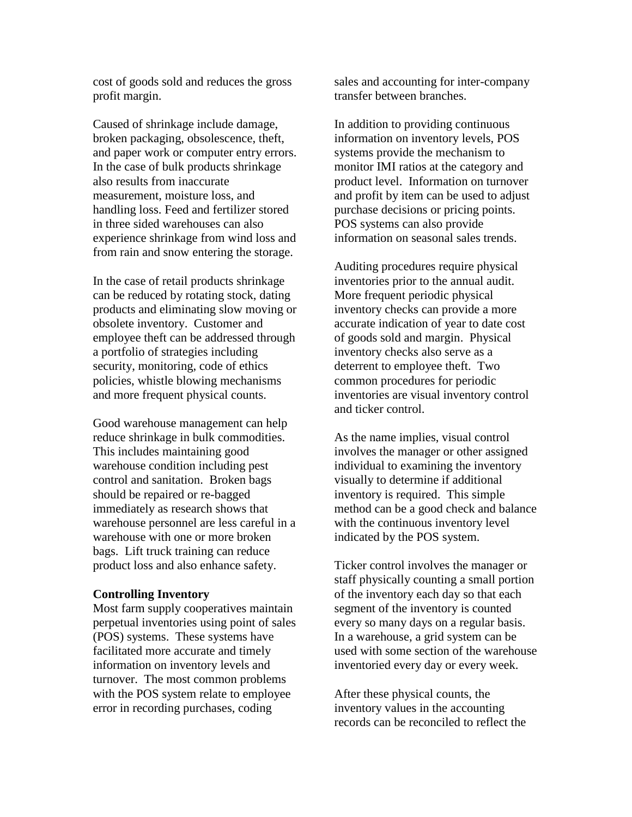cost of goods sold and reduces the gross profit margin.

Caused of shrinkage include damage, broken packaging, obsolescence, theft, and paper work or computer entry errors. In the case of bulk products shrinkage also results from inaccurate measurement, moisture loss, and handling loss. Feed and fertilizer stored in three sided warehouses can also experience shrinkage from wind loss and from rain and snow entering the storage.

In the case of retail products shrinkage can be reduced by rotating stock, dating products and eliminating slow moving or obsolete inventory. Customer and employee theft can be addressed through a portfolio of strategies including security, monitoring, code of ethics policies, whistle blowing mechanisms and more frequent physical counts.

Good warehouse management can help reduce shrinkage in bulk commodities. This includes maintaining good warehouse condition including pest control and sanitation. Broken bags should be repaired or re-bagged immediately as research shows that warehouse personnel are less careful in a warehouse with one or more broken bags. Lift truck training can reduce product loss and also enhance safety.

#### **Controlling Inventory**

Most farm supply cooperatives maintain perpetual inventories using point of sales (POS) systems. These systems have facilitated more accurate and timely information on inventory levels and turnover. The most common problems with the POS system relate to employee error in recording purchases, coding

sales and accounting for inter-company transfer between branches.

In addition to providing continuous information on inventory levels, POS systems provide the mechanism to monitor IMI ratios at the category and product level. Information on turnover and profit by item can be used to adjust purchase decisions or pricing points. POS systems can also provide information on seasonal sales trends.

Auditing procedures require physical inventories prior to the annual audit. More frequent periodic physical inventory checks can provide a more accurate indication of year to date cost of goods sold and margin. Physical inventory checks also serve as a deterrent to employee theft. Two common procedures for periodic inventories are visual inventory control and ticker control.

As the name implies, visual control involves the manager or other assigned individual to examining the inventory visually to determine if additional inventory is required. This simple method can be a good check and balance with the continuous inventory level indicated by the POS system.

Ticker control involves the manager or staff physically counting a small portion of the inventory each day so that each segment of the inventory is counted every so many days on a regular basis. In a warehouse, a grid system can be used with some section of the warehouse inventoried every day or every week.

After these physical counts, the inventory values in the accounting records can be reconciled to reflect the